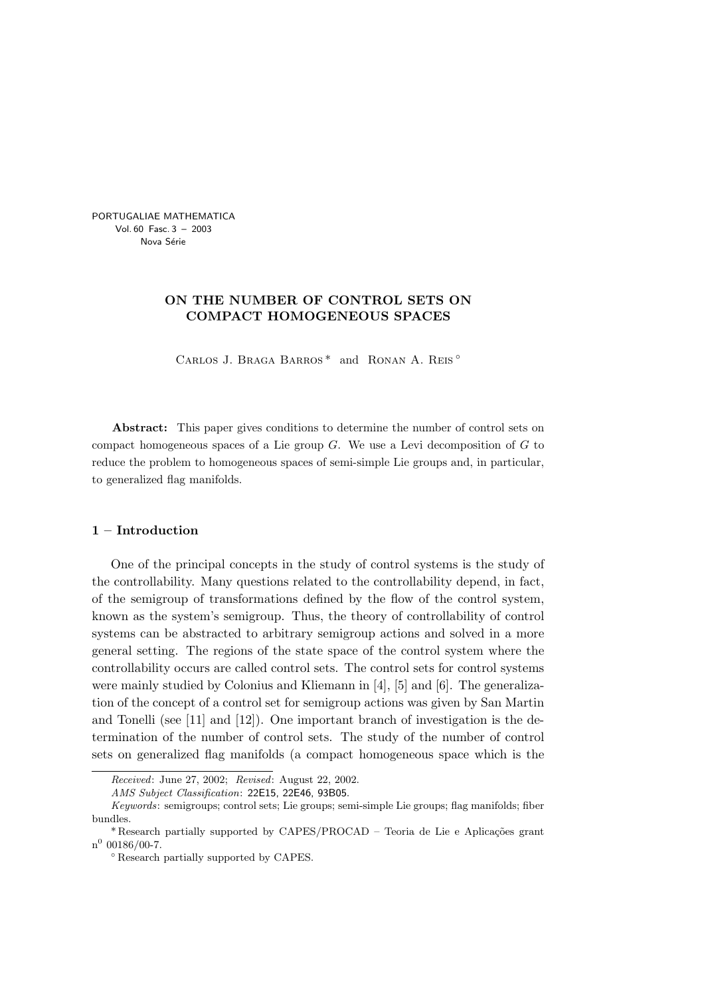PORTUGALIAE MATHEMATICA Vol. 60 Fasc. 3 – 2003 Nova Série

# ON THE NUMBER OF CONTROL SETS ON COMPACT HOMOGENEOUS SPACES

Carlos J. Braga Barros \* and Ronan A. Reis ◦

Abstract: This paper gives conditions to determine the number of control sets on compact homogeneous spaces of a Lie group  $G$ . We use a Levi decomposition of  $G$  to reduce the problem to homogeneous spaces of semi-simple Lie groups and, in particular, to generalized flag manifolds.

### 1 – Introduction

One of the principal concepts in the study of control systems is the study of the controllability. Many questions related to the controllability depend, in fact, of the semigroup of transformations defined by the flow of the control system, known as the system's semigroup. Thus, the theory of controllability of control systems can be abstracted to arbitrary semigroup actions and solved in a more general setting. The regions of the state space of the control system where the controllability occurs are called control sets. The control sets for control systems were mainly studied by Colonius and Kliemann in [4], [5] and [6]. The generalization of the concept of a control set for semigroup actions was given by San Martin and Tonelli (see [11] and [12]). One important branch of investigation is the determination of the number of control sets. The study of the number of control sets on generalized flag manifolds (a compact homogeneous space which is the

Received: June 27, 2002; Revised: August 22, 2002.

AMS Subject Classification: 22E15, 22E46, 93B05.

Keywords: semigroups; control sets; Lie groups; semi-simple Lie groups; flag manifolds; fiber bundles.

<sup>\*</sup> Research partially supported by CAPES/PROCAD – Teoria de Lie e Aplicações grant  $n^0$  00186/00-7.

<sup>◦</sup> Research partially supported by CAPES.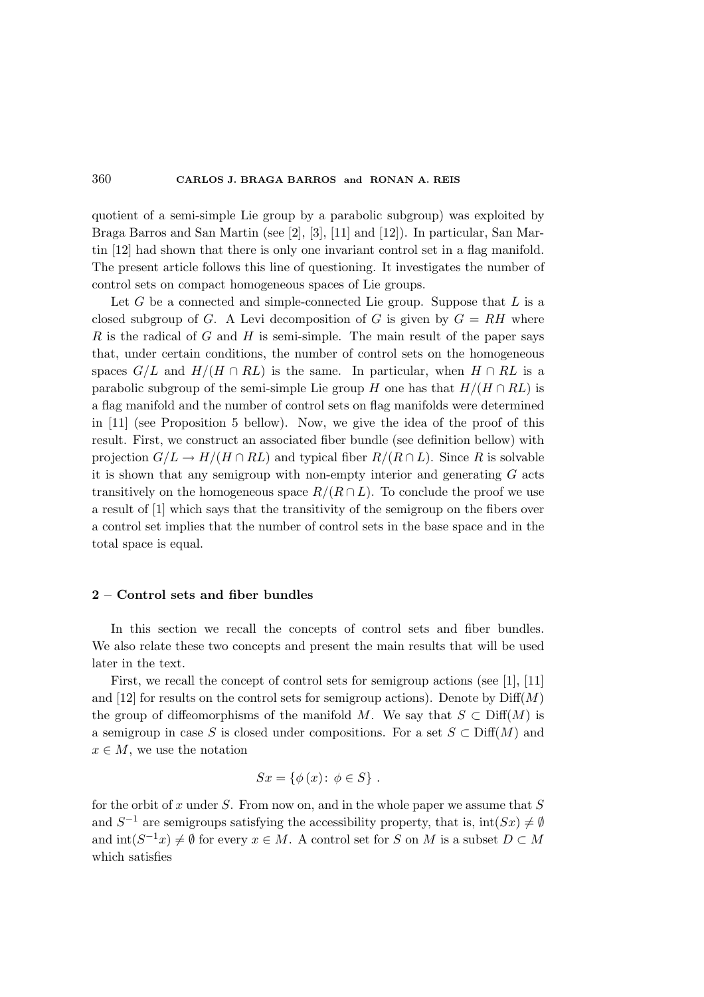quotient of a semi-simple Lie group by a parabolic subgroup) was exploited by Braga Barros and San Martin (see [2], [3], [11] and [12]). In particular, San Martin [12] had shown that there is only one invariant control set in a flag manifold. The present article follows this line of questioning. It investigates the number of control sets on compact homogeneous spaces of Lie groups.

Let  $G$  be a connected and simple-connected Lie group. Suppose that  $L$  is a closed subgroup of G. A Levi decomposition of G is given by  $G = RH$  where  $R$  is the radical of  $G$  and  $H$  is semi-simple. The main result of the paper says that, under certain conditions, the number of control sets on the homogeneous spaces  $G/L$  and  $H/(H \cap RL)$  is the same. In particular, when  $H \cap RL$  is a parabolic subgroup of the semi-simple Lie group H one has that  $H/(H \cap RL)$  is a flag manifold and the number of control sets on flag manifolds were determined in [11] (see Proposition 5 bellow). Now, we give the idea of the proof of this result. First, we construct an associated fiber bundle (see definition bellow) with projection  $G/L \to H/(H \cap RL)$  and typical fiber  $R/(R \cap L)$ . Since R is solvable it is shown that any semigroup with non-empty interior and generating  $G$  acts transitively on the homogeneous space  $R/(R \cap L)$ . To conclude the proof we use a result of [1] which says that the transitivity of the semigroup on the fibers over a control set implies that the number of control sets in the base space and in the total space is equal.

# 2 – Control sets and fiber bundles

In this section we recall the concepts of control sets and fiber bundles. We also relate these two concepts and present the main results that will be used later in the text.

First, we recall the concept of control sets for semigroup actions (see [1], [11] and [12] for results on the control sets for semigroup actions). Denote by  $\text{Diff}(M)$ the group of diffeomorphisms of the manifold M. We say that  $S \subset \text{Diff}(M)$  is a semigroup in case S is closed under compositions. For a set  $S \subset \text{Diff}(M)$  and  $x \in M$ , we use the notation

$$
Sx = \{\phi(x) \colon \phi \in S\} .
$$

for the orbit of x under  $S$ . From now on, and in the whole paper we assume that  $S$ and  $S^{-1}$  are semigroups satisfying the accessibility property, that is,  $\text{int}(S_x) \neq \emptyset$ and  $\text{int}(S^{-1}x) \neq \emptyset$  for every  $x \in M$ . A control set for S on M is a subset  $D \subset M$ which satisfies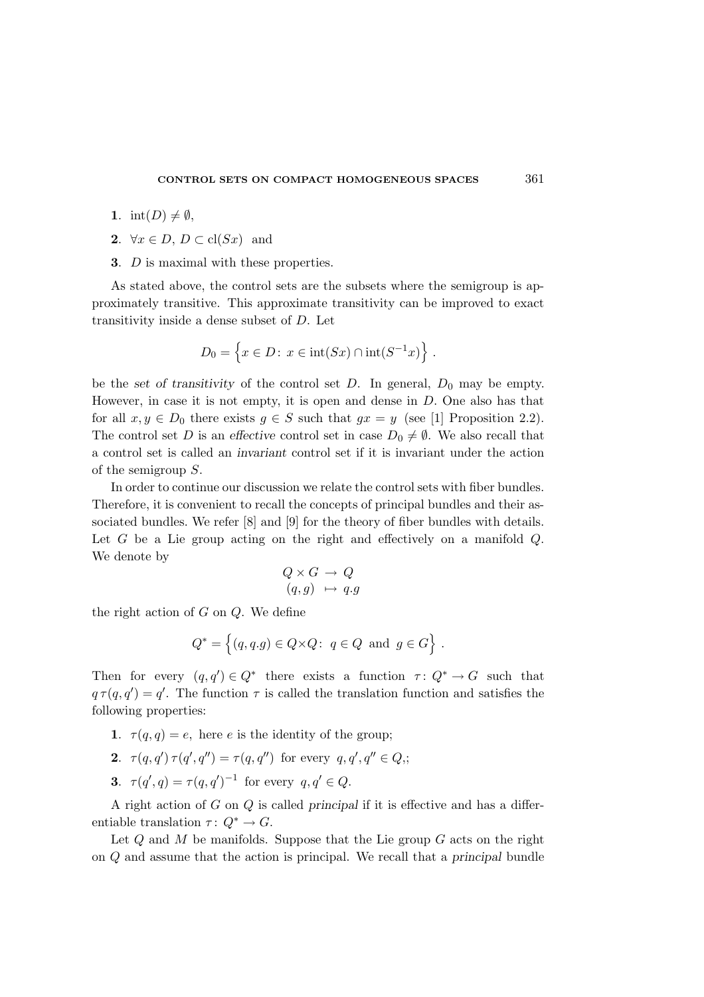- 1. int(D)  $\neq \emptyset$ ,
- 2.  $\forall x \in D, D \subset \text{cl}(Sx)$  and
- 3. D is maximal with these properties.

As stated above, the control sets are the subsets where the semigroup is approximately transitive. This approximate transitivity can be improved to exact transitivity inside a dense subset of D. Let

$$
D_0 = \left\{ x \in D : x \in \text{int}(Sx) \cap \text{int}(S^{-1}x) \right\} .
$$

be the set of transitivity of the control set D. In general,  $D_0$  may be empty. However, in case it is not empty, it is open and dense in  $D$ . One also has that for all  $x, y \in D_0$  there exists  $g \in S$  such that  $gx = y$  (see [1] Proposition 2.2). The control set D is an effective control set in case  $D_0 \neq \emptyset$ . We also recall that a control set is called an invariant control set if it is invariant under the action of the semigroup S.

In order to continue our discussion we relate the control sets with fiber bundles. Therefore, it is convenient to recall the concepts of principal bundles and their associated bundles. We refer [8] and [9] for the theory of fiber bundles with details. Let  $G$  be a Lie group acting on the right and effectively on a manifold  $Q$ . We denote by

$$
Q \times G \to Q
$$
  

$$
(q, g) \mapsto q.g
$$

the right action of  $G$  on  $Q$ . We define

$$
Q^* = \left\{ (q, q, g) \in Q \times Q: \ q \in Q \text{ and } g \in G \right\}.
$$

Then for every  $(q, q') \in Q^*$  there exists a function  $\tau: Q^* \to G$  such that  $q \tau(q,q') = q'$ . The function  $\tau$  is called the translation function and satisfies the following properties:

- 1.  $\tau(q,q) = e$ , here e is the identity of the group;
- 2.  $\tau(q,q')\,\tau(q',q'') = \tau(q,q'')$  for every  $q,q',q'' \in Q$ ;
- **3.**  $\tau(q', q) = \tau(q, q')^{-1}$  for every  $q, q' \in Q$ .

A right action of G on Q is called principal if it is effective and has a differentiable translation  $\tau: Q^* \to G$ .

Let  $Q$  and  $M$  be manifolds. Suppose that the Lie group  $G$  acts on the right on Q and assume that the action is principal. We recall that a principal bundle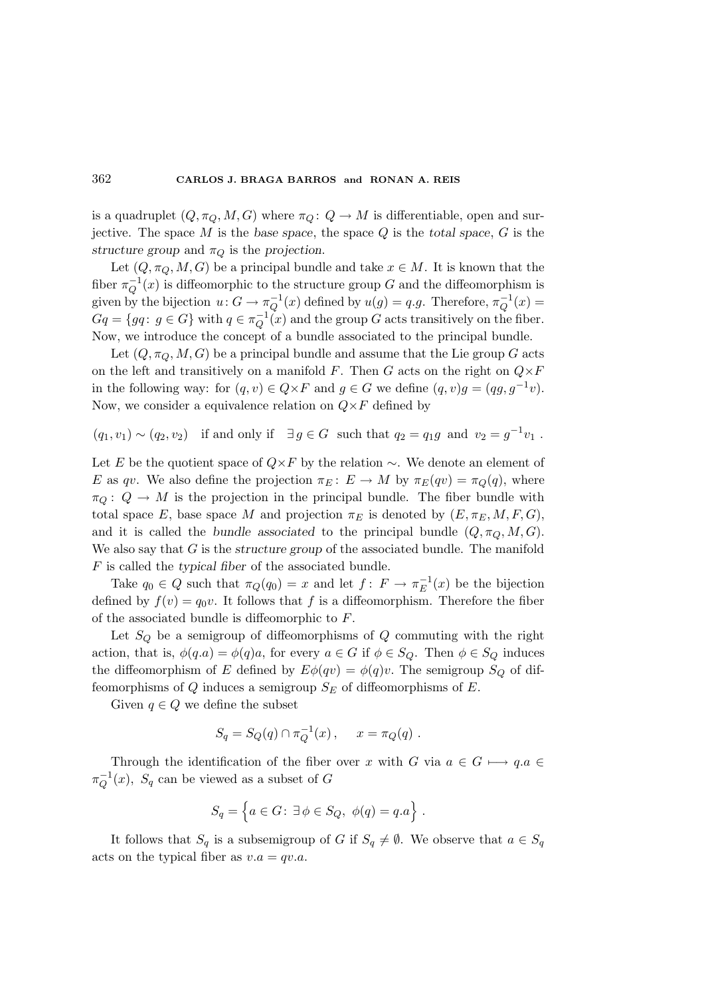is a quadruplet  $(Q, \pi_Q, M, G)$  where  $\pi_Q: Q \to M$  is differentiable, open and surjective. The space M is the base space, the space  $Q$  is the total space,  $G$  is the structure group and  $\pi_Q$  is the projection.

Let  $(Q, \pi_Q, M, G)$  be a principal bundle and take  $x \in M$ . It is known that the fiber  $\pi_Q^{-1}(x)$  is diffeomorphic to the structure group G and the diffeomorphism is given by the bijection  $u: G \to \pi_Q^{-1}(x)$  defined by  $u(g) = q.g$ . Therefore,  $\pi_Q^{-1}(x) =$  $Gq = \{qq: g \in G\}$  with  $q \in \pi_Q^{-1(x)}$  and the group G acts transitively on the fiber. Now, we introduce the concept of a bundle associated to the principal bundle.

Let  $(Q, \pi_Q, M, G)$  be a principal bundle and assume that the Lie group G acts on the left and transitively on a manifold F. Then G acts on the right on  $Q\times F$ in the following way: for  $(q, v) \in Q \times F$  and  $g \in G$  we define  $(q, v)g = (qg, g^{-1}v)$ . Now, we consider a equivalence relation on  $Q \times F$  defined by

 $(q_1, v_1) \sim (q_2, v_2)$  if and only if  $\exists g \in G$  such that  $q_2 = q_1 g$  and  $v_2 = g^{-1} v_1$ .

Let E be the quotient space of  $Q \times F$  by the relation ∼. We denote an element of E as qv. We also define the projection  $\pi_E: E \to M$  by  $\pi_E(qv) = \pi_Q(q)$ , where  $\pi_Q: Q \to M$  is the projection in the principal bundle. The fiber bundle with total space E, base space M and projection  $\pi_E$  is denoted by  $(E, \pi_E, M, F, G)$ , and it is called the bundle associated to the principal bundle  $(Q, \pi_Q, M, G)$ . We also say that  $G$  is the structure group of the associated bundle. The manifold  $F$  is called the typical fiber of the associated bundle.

Take  $q_0 \in Q$  such that  $\pi_Q(q_0) = x$  and let  $f: F \to \pi_E^{-1}(x)$  be the bijection defined by  $f(v) = q_0v$ . It follows that f is a diffeomorphism. Therefore the fiber of the associated bundle is diffeomorphic to F.

Let  $S_Q$  be a semigroup of diffeomorphisms of  $Q$  commuting with the right action, that is,  $\phi(q.a) = \phi(q)a$ , for every  $a \in G$  if  $\phi \in S_Q$ . Then  $\phi \in S_Q$  induces the diffeomorphism of E defined by  $E\phi(qv) = \phi(q)v$ . The semigroup  $S_Q$  of diffeomorphisms of Q induces a semigroup  $S_E$  of diffeomorphisms of E.

Given  $q \in Q$  we define the subset

$$
S_q = S_Q(q) \cap \pi_Q^{-1}(x) , \quad x = \pi_Q(q) .
$$

Through the identification of the fiber over x with G via  $a \in G \longmapsto q.a \in$  $\pi_Q^{-1}(x)$ ,  $S_q$  can be viewed as a subset of G

$$
S_q = \left\{ a \in G \colon \exists \phi \in S_Q, \phi(q) = q.a \right\} .
$$

It follows that  $S_q$  is a subsemigroup of G if  $S_q \neq \emptyset$ . We observe that  $a \in S_q$ acts on the typical fiber as  $v.a = qv.a$ .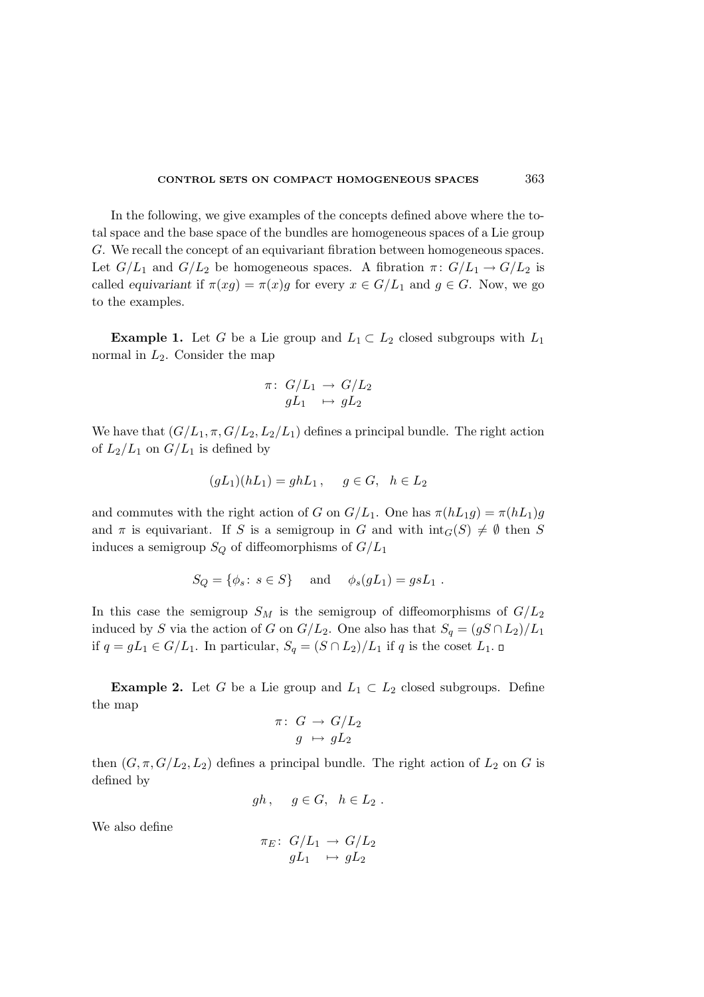In the following, we give examples of the concepts defined above where the total space and the base space of the bundles are homogeneous spaces of a Lie group G. We recall the concept of an equivariant fibration between homogeneous spaces. Let  $G/L_1$  and  $G/L_2$  be homogeneous spaces. A fibration  $\pi: G/L_1 \to G/L_2$  is called equivariant if  $\pi(xg) = \pi(x)g$  for every  $x \in G/L_1$  and  $g \in G$ . Now, we go to the examples.

**Example 1.** Let G be a Lie group and  $L_1 \subset L_2$  closed subgroups with  $L_1$ normal in  $L_2$ . Consider the map

$$
\pi\colon\thinspace G/L_1\to G/L_2\atop gL_1\quad \mapsto \hskip 1mm gL_2
$$

We have that  $(G/L_1, \pi, G/L_2, L_2/L_1)$  defines a principal bundle. The right action of  $L_2/L_1$  on  $G/L_1$  is defined by

$$
(gL1)(hL1) = ghL1, g \in G, h \in L2
$$

and commutes with the right action of G on  $G/L_1$ . One has  $\pi(hL_1g) = \pi(hL_1)g$ and  $\pi$  is equivariant. If S is a semigroup in G and with  $\text{int}_G(S) \neq \emptyset$  then S induces a semigroup  $S_Q$  of diffeomorphisms of  $G/L_1$ 

$$
S_Q = \{ \phi_s : s \in S \}
$$
 and  $\phi_s(gL_1) = gsL_1$ .

In this case the semigroup  $S_M$  is the semigroup of diffeomorphisms of  $G/L_2$ induced by S via the action of G on  $G/L_2$ . One also has that  $S_q = (gS \cap L_2)/L_1$ if  $q = gL_1 \in G/L_1$ . In particular,  $S_q = (S \cap L_2)/L_1$  if q is the coset  $L_1$ . □

**Example 2.** Let G be a Lie group and  $L_1 \subset L_2$  closed subgroups. Define the map

$$
\begin{array}{rcl} \pi\colon\ G \,\to\, G/L_2 \\ g \,\mapsto\, gL_2 \end{array}
$$

then  $(G, \pi, G/L_2, L_2)$  defines a principal bundle. The right action of  $L_2$  on G is defined by

$$
gh\,,\quad g\in G,\ \ h\in L_2\ .
$$

We also define

$$
\pi_E\colon\thinspace G/L_1\to G/L_2\atop gL_1\quad \mapsto \hskip 1mm gL_2
$$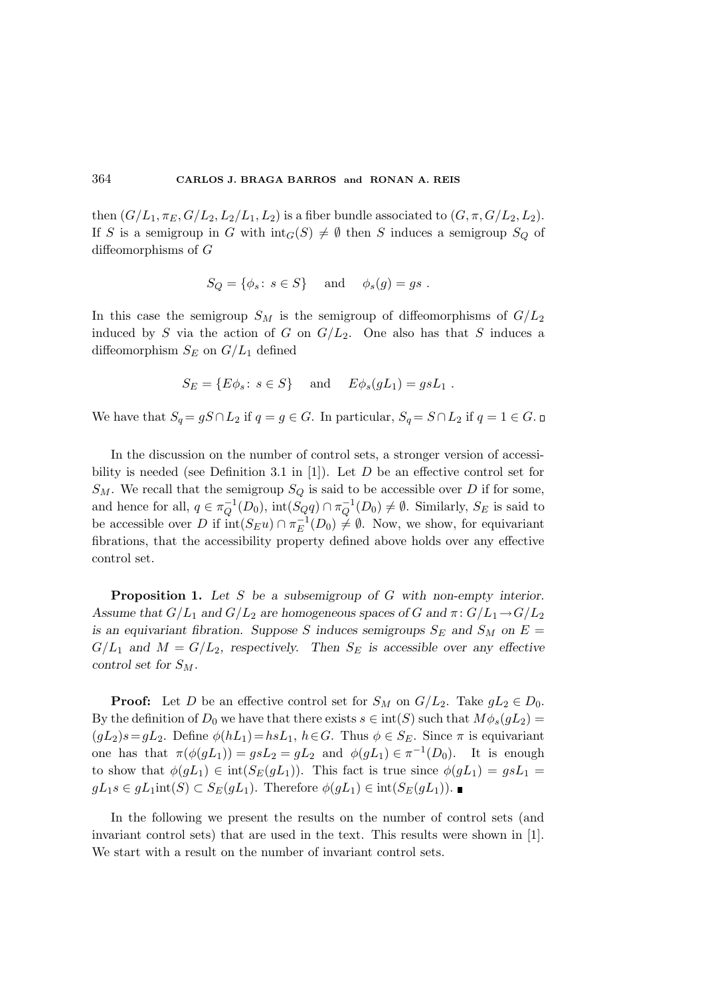then  $(G/L_1, \pi_E, G/L_2, L_2/L_1, L_2)$  is a fiber bundle associated to  $(G, \pi, G/L_2, L_2)$ . If S is a semigroup in G with  $\text{int}_G(S) \neq \emptyset$  then S induces a semigroup  $S_Q$  of diffeomorphisms of G

$$
S_Q = \{ \phi_s \colon s \in S \} \quad \text{and} \quad \phi_s(g) = gs \ .
$$

In this case the semigroup  $S_M$  is the semigroup of diffeomorphisms of  $G/L_2$ induced by S via the action of G on  $G/L_2$ . One also has that S induces a diffeomorphism  $S_E$  on  $G/L_1$  defined

$$
S_E = \{ E\phi_s : s \in S \} \quad \text{and} \quad E\phi_s(gL_1) = gsL_1 .
$$

We have that  $S_q = gS \cap L_2$  if  $q = g \in G$ . In particular,  $S_q = S \cap L_2$  if  $q = 1 \in G$ .

In the discussion on the number of control sets, a stronger version of accessibility is needed (see Definition 3.1 in [1]). Let  $D$  be an effective control set for  $S_M$ . We recall that the semigroup  $S_Q$  is said to be accessible over D if for some, and hence for all,  $q \in \pi_Q^{-1}(D_0)$ ,  $\text{int}(S_Q q) \cap \pi_Q^{-1}(D_0) \neq \emptyset$ . Similarly,  $S_E$  is said to be accessible over D if  $\text{int}(S_{E}u) \cap \pi_{E}^{-1}(D_0) \neq \emptyset$ . Now, we show, for equivariant fibrations, that the accessibility property defined above holds over any effective control set.

Proposition 1. Let S be a subsemigroup of G with non-empty interior. Assume that  $G/L_1$  and  $G/L_2$  are homogeneous spaces of G and  $\pi: G/L_1 \rightarrow G/L_2$ is an equivariant fibration. Suppose S induces semigroups  $S_E$  and  $S_M$  on  $E =$  $G/L_1$  and  $M = G/L_2$ , respectively. Then  $S_E$  is accessible over any effective control set for  $S_M$ .

**Proof:** Let D be an effective control set for  $S_M$  on  $G/L_2$ . Take  $gL_2 \in D_0$ . By the definition of  $D_0$  we have that there exists  $s \in \text{int}(S)$  such that  $M\phi_s(gL_2)$  =  $(gL_2)s=gL_2$ . Define  $\phi(hL_1)=hsL_1$ ,  $h\in G$ . Thus  $\phi\in S_E$ . Since  $\pi$  is equivariant one has that  $\pi(\phi(gL_1)) = gsL_2 = gL_2$  and  $\phi(gL_1) \in \pi^{-1}(D_0)$ . It is enough to show that  $\phi(gL_1) \in \text{int}(S_E(gL_1))$ . This fact is true since  $\phi(gL_1) = gsL_1 =$  $gL_1s \in gL_1\text{int}(S) \subset S_E(gL_1)$ . Therefore  $\phi(gL_1) \in \text{int}(S_E(gL_1))$ .

In the following we present the results on the number of control sets (and invariant control sets) that are used in the text. This results were shown in [1]. We start with a result on the number of invariant control sets.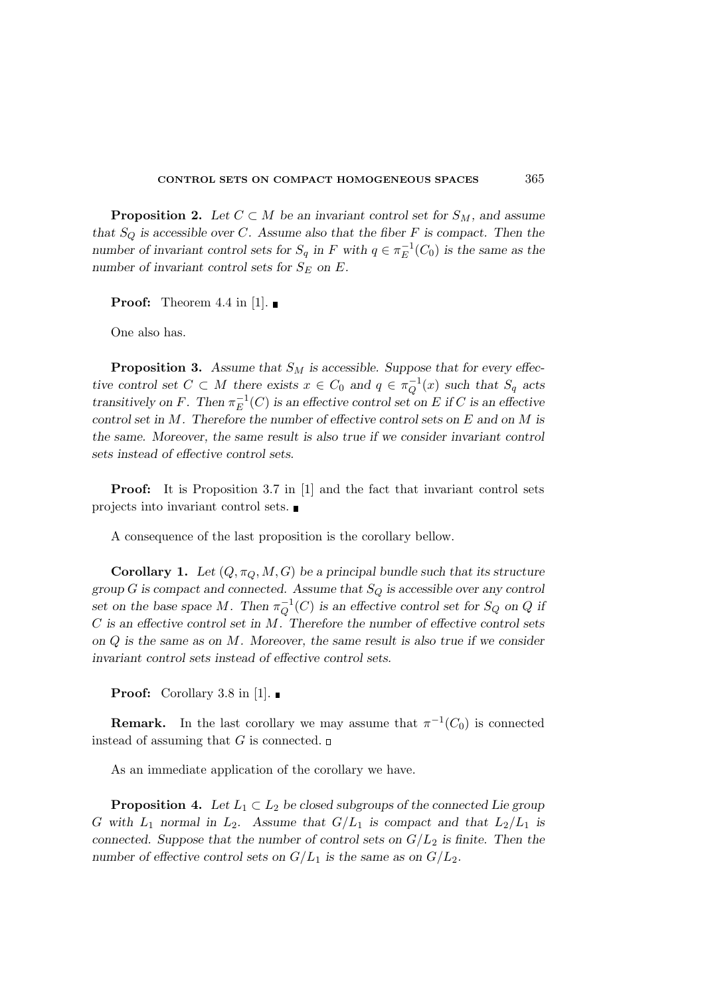**Proposition 2.** Let  $C \subset M$  be an invariant control set for  $S_M$ , and assume that  $S_Q$  is accessible over C. Assume also that the fiber F is compact. Then the number of invariant control sets for  $S_q$  in F with  $q \in \pi_E^{-1}(C_0)$  is the same as the number of invariant control sets for  $S_E$  on E.

**Proof:** Theorem 4.4 in [1].

One also has.

**Proposition 3.** Assume that  $S_M$  is accessible. Suppose that for every effective control set  $C \subset M$  there exists  $x \in C_0$  and  $q \in \pi_Q^{-1}(x)$  such that  $S_q$  acts transitively on F. Then  $\pi_E^{-1}(C)$  is an effective control set on E if C is an effective control set in  $M$ . Therefore the number of effective control sets on  $E$  and on  $M$  is the same. Moreover, the same result is also true if we consider invariant control sets instead of effective control sets.

Proof: It is Proposition 3.7 in [1] and the fact that invariant control sets projects into invariant control sets.

A consequence of the last proposition is the corollary bellow.

**Corollary 1.** Let  $(Q, \pi_Q, M, G)$  be a principal bundle such that its structure group G is compact and connected. Assume that  $S_Q$  is accessible over any control set on the base space M. Then  $\pi_Q^{-1}(C)$  is an effective control set for  $S_Q$  on Q if  $C$  is an effective control set in  $M$ . Therefore the number of effective control sets on  $Q$  is the same as on  $M$ . Moreover, the same result is also true if we consider invariant control sets instead of effective control sets.

**Proof:** Corollary 3.8 in [1].

**Remark.** In the last corollary we may assume that  $\pi^{-1}(C_0)$  is connected instead of assuming that G is connected.  $\square$ 

As an immediate application of the corollary we have.

**Proposition 4.** Let  $L_1 \subset L_2$  be closed subgroups of the connected Lie group G with  $L_1$  normal in  $L_2$ . Assume that  $G/L_1$  is compact and that  $L_2/L_1$  is connected. Suppose that the number of control sets on  $G/L_2$  is finite. Then the number of effective control sets on  $G/L_1$  is the same as on  $G/L_2$ .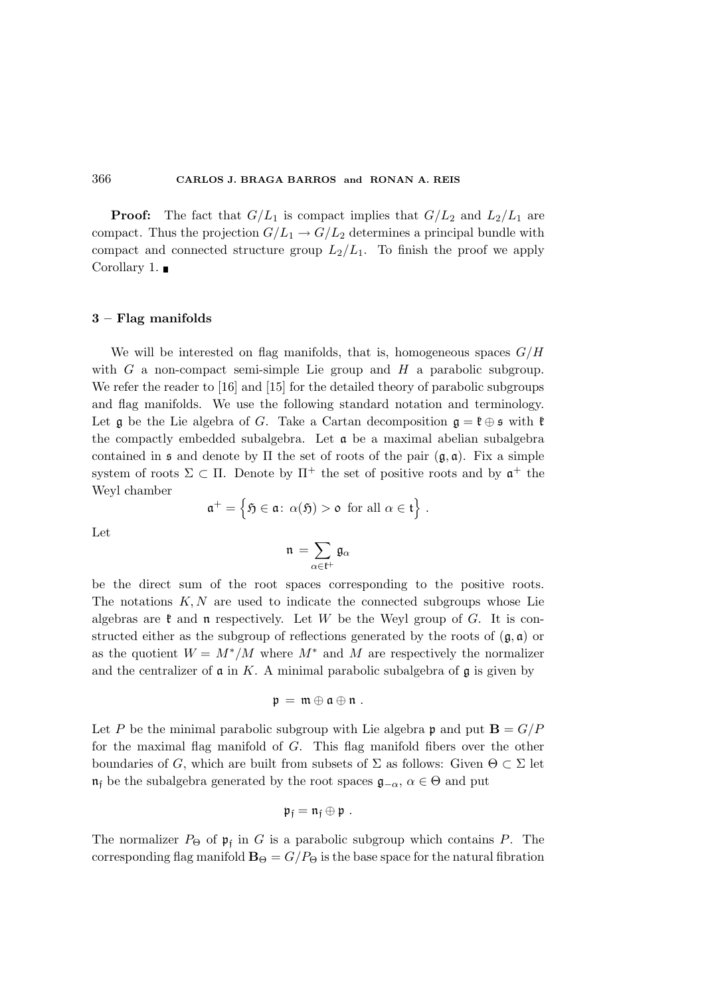**Proof:** The fact that  $G/L_1$  is compact implies that  $G/L_2$  and  $L_2/L_1$  are compact. Thus the projection  $G/L_1 \rightarrow G/L_2$  determines a principal bundle with compact and connected structure group  $L_2/L_1$ . To finish the proof we apply Corollary 1. ■

#### 3 – Flag manifolds

We will be interested on flag manifolds, that is, homogeneous spaces  $G/H$ with  $G$  a non-compact semi-simple Lie group and  $H$  a parabolic subgroup. We refer the reader to [16] and [15] for the detailed theory of parabolic subgroups and flag manifolds. We use the following standard notation and terminology. Let g be the Lie algebra of G. Take a Cartan decomposition  $g = \ell \oplus \mathfrak{s}$  with  $\ell$ the compactly embedded subalgebra. Let  $\alpha$  be a maximal abelian subalgebra contained in  $\mathfrak s$  and denote by  $\Pi$  the set of roots of the pair  $(\mathfrak g, \mathfrak a)$ . Fix a simple system of roots  $\Sigma \subset \Pi$ . Denote by  $\Pi^+$  the set of positive roots and by  $\mathfrak{a}^+$  the Weyl chamber

$$
\mathfrak{a}^+=\left\{\mathfrak{H}\in\mathfrak{a}\colon\alpha(\mathfrak{H})\gt\mathfrak{o}\ \text{for all}\ \alpha\in\mathfrak{t}\right\}\,.
$$

Let

$$
\mathfrak{n}\,=\sum_{\alpha\in\mathfrak{k}^+}\mathfrak{g}_\alpha
$$

be the direct sum of the root spaces corresponding to the positive roots. The notations  $K, N$  are used to indicate the connected subgroups whose Lie algebras are  $\mathfrak k$  and  $\mathfrak n$  respectively. Let W be the Weyl group of G. It is constructed either as the subgroup of reflections generated by the roots of  $(\mathfrak{g}, \mathfrak{a})$  or as the quotient  $W = M^*/M$  where  $M^*$  and M are respectively the normalizer and the centralizer of  $\alpha$  in K. A minimal parabolic subalgebra of  $\beta$  is given by

$$
\mathfrak{p}\,=\,\mathfrak{m}\oplus\mathfrak{a}\oplus\mathfrak{n}\;.
$$

Let P be the minimal parabolic subgroup with Lie algebra p and put  $\mathbf{B} = G/P$ for the maximal flag manifold of G. This flag manifold fibers over the other boundaries of G, which are built from subsets of  $\Sigma$  as follows: Given  $\Theta \subset \Sigma$  let  $\mathfrak{n}_f$  be the subalgebra generated by the root spaces  $\mathfrak{g}_{-\alpha}, \alpha \in \Theta$  and put

$$
\mathfrak{p}_{\mathfrak{f}}=\mathfrak{n}_{\mathfrak{f}}\oplus\mathfrak{p}\ .
$$

The normalizer  $P_{\Theta}$  of  $\mathfrak{p}_{\mathfrak{f}}$  in G is a parabolic subgroup which contains P. The corresponding flag manifold  $\mathbf{B}_{\Theta} = G/P_{\Theta}$  is the base space for the natural fibration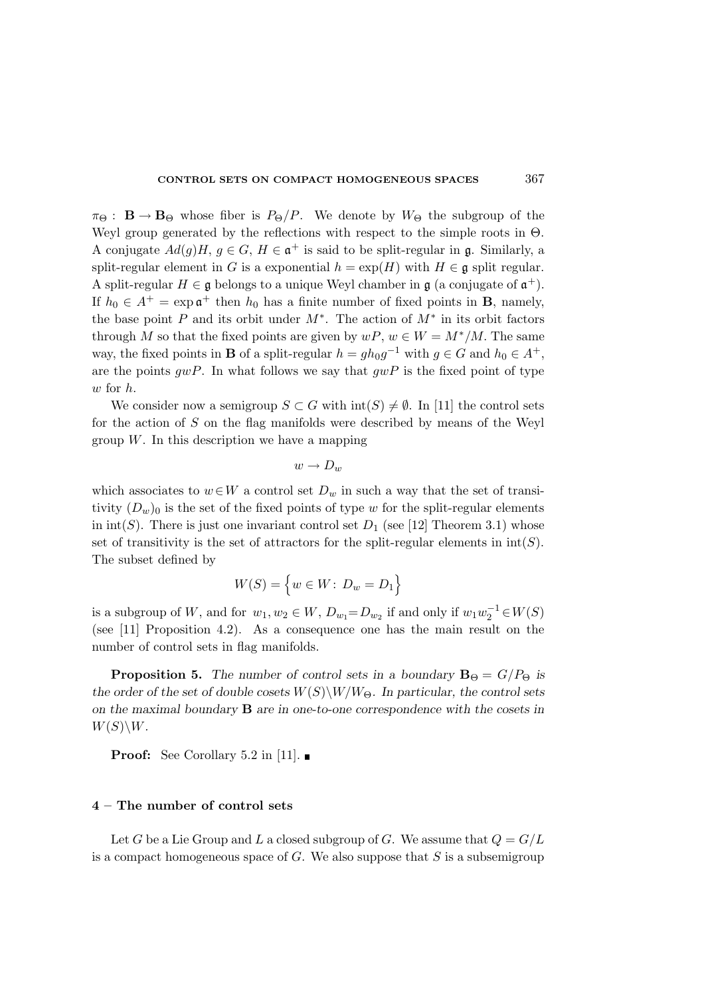#### CONTROL SETS ON COMPACT HOMOGENEOUS SPACES 367

 $\pi_{\Theta}$ :  $\mathbf{B} \to \mathbf{B}_{\Theta}$  whose fiber is  $P_{\Theta}/P$ . We denote by  $W_{\Theta}$  the subgroup of the Weyl group generated by the reflections with respect to the simple roots in Θ. A conjugate  $Ad(g)H$ ,  $g \in G$ ,  $H \in \mathfrak{a}^+$  is said to be split-regular in **g**. Similarly, a split-regular element in G is a exponential  $h = \exp(H)$  with  $H \in \mathfrak{g}$  split regular. A split-regular  $H \in \mathfrak{g}$  belongs to a unique Weyl chamber in  $\mathfrak{g}$  (a conjugate of  $\mathfrak{a}^+$ ). If  $h_0 \in A^+ = \exp \mathfrak{a}^+$  then  $h_0$  has a finite number of fixed points in **B**, namely, the base point P and its orbit under  $M^*$ . The action of  $M^*$  in its orbit factors through M so that the fixed points are given by  $wP, w \in W = M^*/M$ . The same way, the fixed points in **B** of a split-regular  $h = gh_0g^{-1}$  with  $g \in G$  and  $h_0 \in A^+$ , are the points  $qwP$ . In what follows we say that  $qwP$  is the fixed point of type w for h.

We consider now a semigroup  $S \subset G$  with  $\text{int}(S) \neq \emptyset$ . In [11] the control sets for the action of S on the flag manifolds were described by means of the Weyl group  $W$ . In this description we have a mapping

$$
w \to D_w
$$

which associates to  $w \in W$  a control set  $D_w$  in such a way that the set of transitivity  $(D_w)_0$  is the set of the fixed points of type w for the split-regular elements in  $\text{int}(S)$ . There is just one invariant control set  $D_1$  (see [12] Theorem 3.1) whose set of transitivity is the set of attractors for the split-regular elements in  $\text{int}(S)$ . The subset defined by

$$
W(S) = \left\{ w \in W \colon D_w = D_1 \right\}
$$

is a subgroup of W, and for  $w_1, w_2 \in W$ ,  $D_{w_1} = D_{w_2}$  if and only if  $w_1 w_2^{-1} \in W(S)$ (see [11] Proposition 4.2). As a consequence one has the main result on the number of control sets in flag manifolds.

**Proposition 5.** The number of control sets in a boundary  $B_{\Theta} = G/P_{\Theta}$  is the order of the set of double cosets  $W(S)\W/W_{\Theta}$ . In particular, the control sets on the maximal boundary B are in one-to-one correspondence with the cosets in  $W(S)\backslash W$ .

**Proof:** See Corollary 5.2 in [11].

#### 4 – The number of control sets

Let G be a Lie Group and L a closed subgroup of G. We assume that  $Q = G/L$ is a compact homogeneous space of  $G$ . We also suppose that  $S$  is a subsemigroup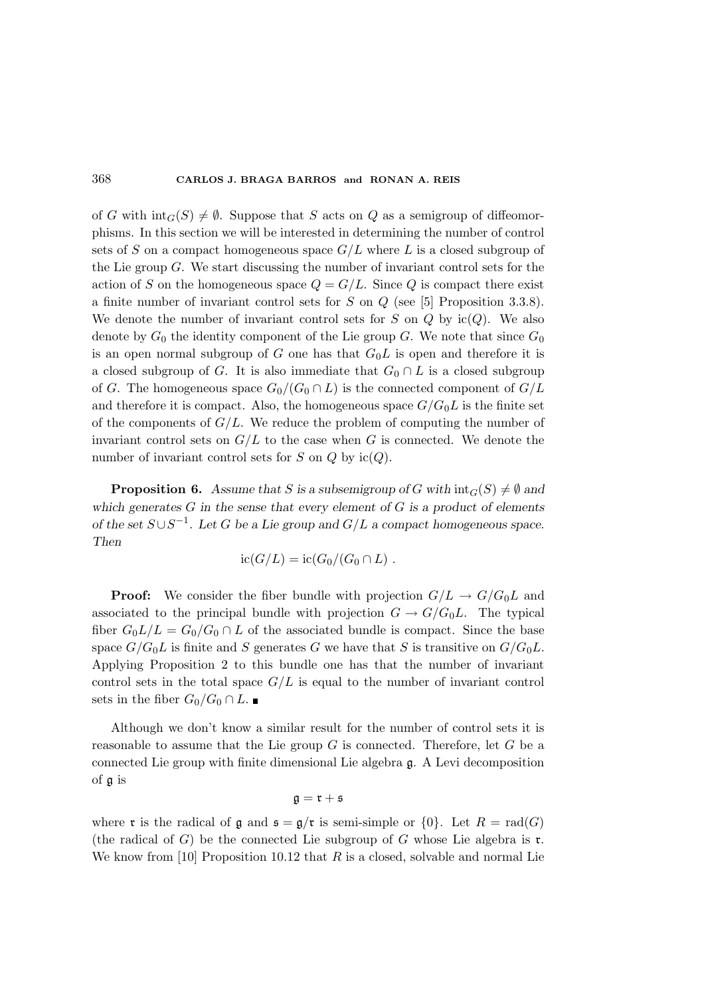of G with  $\text{int}_G(S) \neq \emptyset$ . Suppose that S acts on Q as a semigroup of diffeomorphisms. In this section we will be interested in determining the number of control sets of S on a compact homogeneous space  $G/L$  where L is a closed subgroup of the Lie group G. We start discussing the number of invariant control sets for the action of S on the homogeneous space  $Q = G/L$ . Since Q is compact there exist a finite number of invariant control sets for S on Q (see [5] Proposition 3.3.8). We denote the number of invariant control sets for S on Q by  $ic(Q)$ . We also denote by  $G_0$  the identity component of the Lie group  $G$ . We note that since  $G_0$ is an open normal subgroup of G one has that  $G_0L$  is open and therefore it is a closed subgroup of G. It is also immediate that  $G_0 \cap L$  is a closed subgroup of G. The homogeneous space  $G_0/(G_0 \cap L)$  is the connected component of  $G/L$ and therefore it is compact. Also, the homogeneous space  $G/G_0L$  is the finite set of the components of  $G/L$ . We reduce the problem of computing the number of invariant control sets on  $G/L$  to the case when G is connected. We denote the number of invariant control sets for  $S$  on  $Q$  by ic( $Q$ ).

**Proposition 6.** Assume that S is a subsemigroup of G with  $\text{int}_G(S) \neq \emptyset$  and which generates  $G$  in the sense that every element of  $G$  is a product of elements of the set  $S \cup S^{-1}$ . Let G be a Lie group and  $G/L$  a compact homogeneous space. Then

$$
ic(G/L) = ic(G_0/(G_0 \cap L))
$$
.

**Proof:** We consider the fiber bundle with projection  $G/L \rightarrow G/G_0L$  and associated to the principal bundle with projection  $G \to G/G_0L$ . The typical fiber  $G_0L/L = G_0/G_0 \cap L$  of the associated bundle is compact. Since the base space  $G/G_0L$  is finite and S generates G we have that S is transitive on  $G/G_0L$ . Applying Proposition 2 to this bundle one has that the number of invariant control sets in the total space  $G/L$  is equal to the number of invariant control sets in the fiber  $G_0/G_0 \cap L$ .

Although we don't know a similar result for the number of control sets it is reasonable to assume that the Lie group  $G$  is connected. Therefore, let  $G$  be a connected Lie group with finite dimensional Lie algebra g. A Levi decomposition of g is

$$
\mathfrak{g}=\mathfrak{r}+\mathfrak{s}
$$

where **r** is the radical of  $\mathfrak{g}$  and  $\mathfrak{s} = \mathfrak{g}/\mathfrak{r}$  is semi-simple or  $\{0\}$ . Let  $R = \text{rad}(G)$ (the radical of G) be the connected Lie subgroup of G whose Lie algebra is  $\mathfrak{r}$ . We know from [10] Proposition 10.12 that  $R$  is a closed, solvable and normal Lie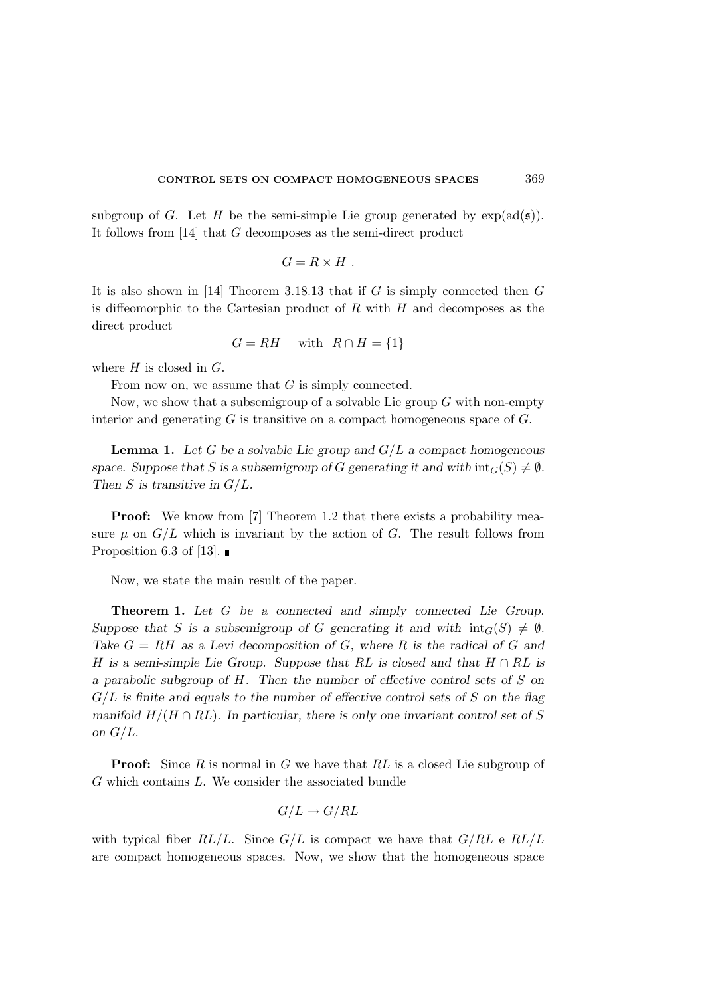subgroup of G. Let H be the semi-simple Lie group generated by  $\exp(\text{ad}(\mathfrak{s}))$ . It follows from [14] that G decomposes as the semi-direct product

$$
G=R\times H.
$$

It is also shown in [14] Theorem 3.18.13 that if  $G$  is simply connected then  $G$ is diffeomorphic to the Cartesian product of  $R$  with  $H$  and decomposes as the direct product

 $G = RH$  with  $R \cap H = \{1\}$ 

where  $H$  is closed in  $G$ .

From now on, we assume that G is simply connected.

Now, we show that a subsemigroup of a solvable Lie group  $G$  with non-empty interior and generating  $G$  is transitive on a compact homogeneous space of  $G$ .

**Lemma 1.** Let G be a solvable Lie group and  $G/L$  a compact homogeneous space. Suppose that S is a subsemigroup of G generating it and with  $\text{int}_G(S) \neq \emptyset$ . Then  $S$  is transitive in  $G/L$ .

**Proof:** We know from [7] Theorem 1.2 that there exists a probability measure  $\mu$  on  $G/L$  which is invariant by the action of G. The result follows from Proposition 6.3 of [13].  $\blacksquare$ 

Now, we state the main result of the paper.

Theorem 1. Let G be a connected and simply connected Lie Group. Suppose that S is a subsemigroup of G generating it and with  $\text{int}_G(S) \neq \emptyset$ . Take  $G = RH$  as a Levi decomposition of G, where R is the radical of G and H is a semi-simple Lie Group. Suppose that RL is closed and that  $H \cap RL$  is a parabolic subgroup of H. Then the number of effective control sets of S on  $G/L$  is finite and equals to the number of effective control sets of S on the flag manifold  $H/(H \cap RL)$ . In particular, there is only one invariant control set of S on  $G/L$ .

**Proof:** Since  $R$  is normal in  $G$  we have that  $RL$  is a closed Lie subgroup of G which contains L. We consider the associated bundle

$$
G/L \to G/RL
$$

with typical fiber  $RL/L$ . Since  $G/L$  is compact we have that  $G/RL$  e  $RL/L$ are compact homogeneous spaces. Now, we show that the homogeneous space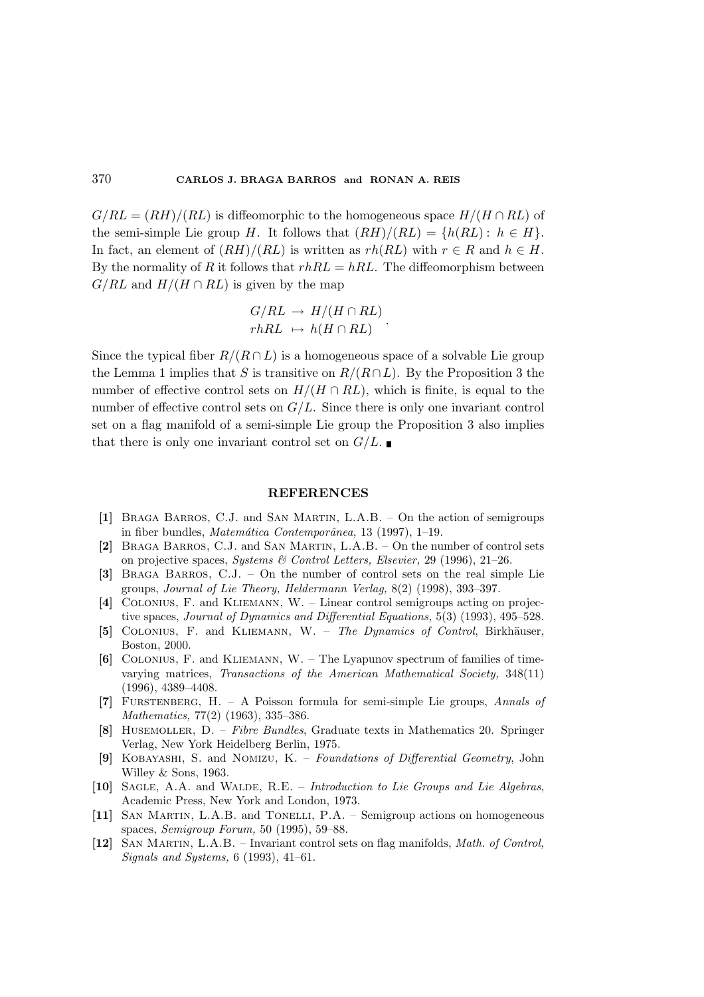$G/RL = (RH)/(RL)$  is diffeomorphic to the homogeneous space  $H/(H \cap RL)$  of the semi-simple Lie group H. It follows that  $(RH)/(RL) = \{h(RL): h \in H\}.$ In fact, an element of  $(RH)/(RL)$  is written as  $rh(RL)$  with  $r \in R$  and  $h \in H$ . By the normality of R it follows that  $rhRL = hRL$ . The diffeomorphism between  $G/RL$  and  $H/(H \cap RL)$  is given by the map

$$
G/RL \rightarrow H/(H \cap RL)
$$
  

$$
rhRL \rightarrow h(H \cap RL)
$$

Since the typical fiber  $R/(R \cap L)$  is a homogeneous space of a solvable Lie group the Lemma 1 implies that S is transitive on  $R/(R\cap L)$ . By the Proposition 3 the number of effective control sets on  $H/(H \cap RL)$ , which is finite, is equal to the number of effective control sets on  $G/L$ . Since there is only one invariant control set on a flag manifold of a semi-simple Lie group the Proposition 3 also implies that there is only one invariant control set on  $G/L$ .

#### **REFERENCES**

- [1] Braga Barros, C.J. and San Martin, L.A.B. On the action of semigroups in fiber bundles, *Matemática Contemporânea*, 13 (1997), 1–19.
- [2] Braga Barros, C.J. and San Martin, L.A.B. On the number of control sets on projective spaces, Systems & Control Letters, Elsevier, 29 (1996), 21–26.
- [3] Braga Barros, C.J. On the number of control sets on the real simple Lie groups, Journal of Lie Theory, Heldermann Verlag, 8(2) (1998), 393–397.
- [4] Colonius, F. and Kliemann, W. Linear control semigroups acting on projective spaces, Journal of Dynamics and Differential Equations, 5(3) (1993), 495–528.
- [5] COLONIUS, F. and KLIEMANN, W. The Dynamics of Control, Birkhäuser, Boston, 2000.
- [6] Colonius, F. and Kliemann, W. The Lyapunov spectrum of families of timevarying matrices, Transactions of the American Mathematical Society, 348(11) (1996), 4389–4408.
- [7] FURSTENBERG, H. A Poisson formula for semi-simple Lie groups, Annals of Mathematics, 77(2) (1963), 335–386.
- [8] Husemoller, D. Fibre Bundles, Graduate texts in Mathematics 20. Springer Verlag, New York Heidelberg Berlin, 1975.
- [9] Kobayashi, S. and Nomizu, K. Foundations of Differential Geometry, John Willey & Sons, 1963.
- [10] SAGLE, A.A. and WALDE, R.E. Introduction to Lie Groups and Lie Algebras, Academic Press, New York and London, 1973.
- [11] San Martin, L.A.B. and Tonelli, P.A. Semigroup actions on homogeneous spaces, Semigroup Forum, 50 (1995), 59–88.
- [12] San Martin, L.A.B. Invariant control sets on flag manifolds, Math. of Control, Signals and Systems, 6 (1993), 41–61.